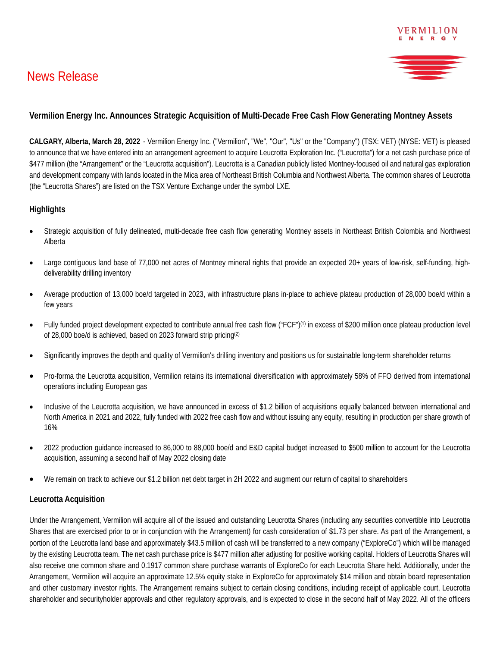

# **Vermilion Energy Inc. Announces Strategic Acquisition of Multi-Decade Free Cash Flow Generating Montney Assets**

**CALGARY, Alberta, March 28, 2022** - Vermilion Energy Inc. ("Vermilion", "We", "Our", "Us" or the "Company") (TSX: VET) (NYSE: VET) is pleased to announce that we have entered into an arrangement agreement to acquire Leucrotta Exploration Inc. ("Leucrotta") for a net cash purchase price of \$477 million (the "Arrangement" or the "Leucrotta acquisition"). Leucrotta is a Canadian publicly listed Montney-focused oil and natural gas exploration and development company with lands located in the Mica area of Northeast British Columbia and Northwest Alberta. The common shares of Leucrotta (the "Leucrotta Shares") are listed on the TSX Venture Exchange under the symbol LXE.

## **Highlights**

- Strategic acquisition of fully delineated, multi-decade free cash flow generating Montney assets in Northeast British Colombia and Northwest Alberta
- Large contiguous land base of 77,000 net acres of Montney mineral rights that provide an expected 20+ years of low-risk, self-funding, highdeliverability drilling inventory
- Average production of 13,000 boe/d targeted in 2023, with infrastructure plans in-place to achieve plateau production of 28,000 boe/d within a few years
- Fully funded project development expected to contribute annual free cash flow ("FCF")(1) in excess of \$200 million once plateau production level of 28,000 boe/d is achieved, based on 2023 forward strip pricing(2)
- Significantly improves the depth and quality of Vermilion's drilling inventory and positions us for sustainable long-term shareholder returns
- Pro-forma the Leucrotta acquisition, Vermilion retains its international diversification with approximately 58% of FFO derived from international operations including European gas
- Inclusive of the Leucrotta acquisition, we have announced in excess of \$1.2 billion of acquisitions equally balanced between international and North America in 2021 and 2022, fully funded with 2022 free cash flow and without issuing any equity, resulting in production per share growth of 16%
- 2022 production guidance increased to 86,000 to 88,000 boe/d and E&D capital budget increased to \$500 million to account for the Leucrotta acquisition, assuming a second half of May 2022 closing date
- We remain on track to achieve our \$1.2 billion net debt target in 2H 2022 and augment our return of capital to shareholders

#### **Leucrotta Acquisition**

Under the Arrangement, Vermilion will acquire all of the issued and outstanding Leucrotta Shares (including any securities convertible into Leucrotta Shares that are exercised prior to or in conjunction with the Arrangement) for cash consideration of \$1.73 per share. As part of the Arrangement, a portion of the Leucrotta land base and approximately \$43.5 million of cash will be transferred to a new company ("ExploreCo") which will be managed by the existing Leucrotta team. The net cash purchase price is \$477 million after adjusting for positive working capital. Holders of Leucrotta Shares will also receive one common share and 0.1917 common share purchase warrants of ExploreCo for each Leucrotta Share held. Additionally, under the Arrangement, Vermilion will acquire an approximate 12.5% equity stake in ExploreCo for approximately \$14 million and obtain board representation and other customary investor rights. The Arrangement remains subject to certain closing conditions, including receipt of applicable court, Leucrotta shareholder and securityholder approvals and other regulatory approvals, and is expected to close in the second half of May 2022. All of the officers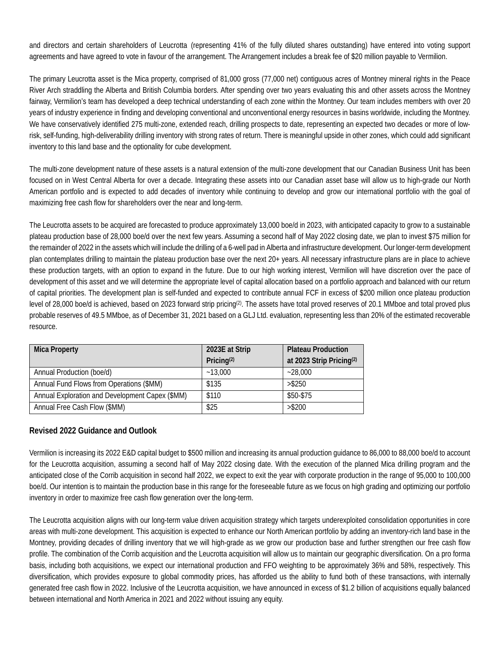and directors and certain shareholders of Leucrotta (representing 41% of the fully diluted shares outstanding) have entered into voting support agreements and have agreed to vote in favour of the arrangement. The Arrangement includes a break fee of \$20 million payable to Vermilion.

The primary Leucrotta asset is the Mica property, comprised of 81,000 gross (77,000 net) contiguous acres of Montney mineral rights in the Peace River Arch straddling the Alberta and British Columbia borders. After spending over two years evaluating this and other assets across the Montney fairway, Vermilion's team has developed a deep technical understanding of each zone within the Montney. Our team includes members with over 20 years of industry experience in finding and developing conventional and unconventional energy resources in basins worldwide, including the Montney. We have conservatively identified 275 multi-zone, extended reach, drilling prospects to date, representing an expected two decades or more of lowrisk, self-funding, high-deliverability drilling inventory with strong rates of return. There is meaningful upside in other zones, which could add significant inventory to this land base and the optionality for cube development.

The multi-zone development nature of these assets is a natural extension of the multi-zone development that our Canadian Business Unit has been focused on in West Central Alberta for over a decade. Integrating these assets into our Canadian asset base will allow us to high-grade our North American portfolio and is expected to add decades of inventory while continuing to develop and grow our international portfolio with the goal of maximizing free cash flow for shareholders over the near and long-term.

The Leucrotta assets to be acquired are forecasted to produce approximately 13,000 boe/d in 2023, with anticipated capacity to grow to a sustainable plateau production base of 28,000 boe/d over the next few years. Assuming a second half of May 2022 closing date, we plan to invest \$75 million for the remainder of 2022 in the assets which will include the drilling of a 6-well pad in Alberta and infrastructure development. Our longer-term development plan contemplates drilling to maintain the plateau production base over the next 20+ years. All necessary infrastructure plans are in place to achieve these production targets, with an option to expand in the future. Due to our high working interest, Vermilion will have discretion over the pace of development of this asset and we will determine the appropriate level of capital allocation based on a portfolio approach and balanced with our return of capital priorities. The development plan is self-funded and expected to contribute annual FCF in excess of \$200 million once plateau production level of 28,000 boe/d is achieved, based on 2023 forward strip pricing<sup>(2)</sup>. The assets have total proved reserves of 20.1 MMboe and total proved plus probable reserves of 49.5 MMboe, as of December 31, 2021 based on a GLJ Ltd. evaluation, representing less than 20% of the estimated recoverable resource.

| <b>Mica Property</b>                            | 2023E at Strip         | <b>Plateau Production</b>            |
|-------------------------------------------------|------------------------|--------------------------------------|
|                                                 | Pricing <sup>(2)</sup> | at 2023 Strip Pricing <sup>(2)</sup> |
| Annual Production (boe/d)                       | $-13,000$              | $-28.000$                            |
| Annual Fund Flows from Operations (\$MM)        | \$135                  | > \$250                              |
| Annual Exploration and Development Capex (\$MM) | \$110                  | \$50-\$75                            |
| Annual Free Cash Flow (\$MM)                    | \$25                   | > \$200                              |

## **Revised 2022 Guidance and Outlook**

Vermilion is increasing its 2022 E&D capital budget to \$500 million and increasing its annual production guidance to 86,000 to 88,000 boe/d to account for the Leucrotta acquisition, assuming a second half of May 2022 closing date. With the execution of the planned Mica drilling program and the anticipated close of the Corrib acquisition in second half 2022, we expect to exit the year with corporate production in the range of 95,000 to 100,000 boe/d. Our intention is to maintain the production base in this range for the foreseeable future as we focus on high grading and optimizing our portfolio inventory in order to maximize free cash flow generation over the long-term.

The Leucrotta acquisition aligns with our long-term value driven acquisition strategy which targets underexploited consolidation opportunities in core areas with multi-zone development. This acquisition is expected to enhance our North American portfolio by adding an inventory-rich land base in the Montney, providing decades of drilling inventory that we will high-grade as we grow our production base and further strengthen our free cash flow profile. The combination of the Corrib acquisition and the Leucrotta acquisition will allow us to maintain our geographic diversification. On a pro forma basis, including both acquisitions, we expect our international production and FFO weighting to be approximately 36% and 58%, respectively. This diversification, which provides exposure to global commodity prices, has afforded us the ability to fund both of these transactions, with internally generated free cash flow in 2022. Inclusive of the Leucrotta acquisition, we have announced in excess of \$1.2 billion of acquisitions equally balanced between international and North America in 2021 and 2022 without issuing any equity.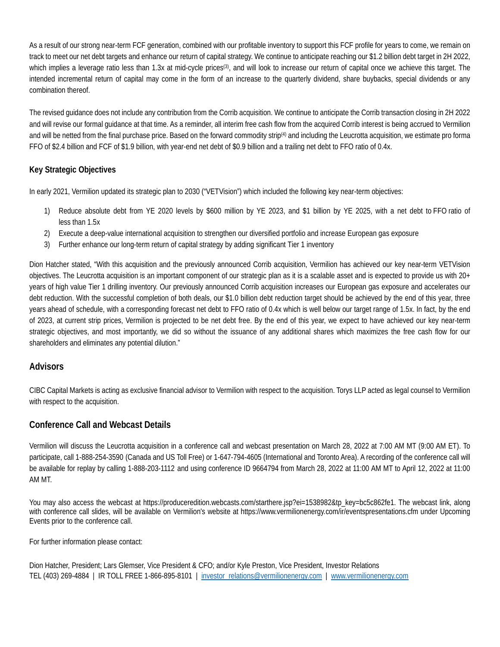As a result of our strong near-term FCF generation, combined with our profitable inventory to support this FCF profile for years to come, we remain on track to meet our net debt targets and enhance our return of capital strategy. We continue to anticipate reaching our \$1.2 billion debt target in 2H 2022, which implies a leverage ratio less than 1.3x at mid-cycle prices<sup>(3)</sup>, and will look to increase our return of capital once we achieve this target. The intended incremental return of capital may come in the form of an increase to the quarterly dividend, share buybacks, special dividends or any combination thereof.

The revised guidance does not include any contribution from the Corrib acquisition. We continue to anticipate the Corrib transaction closing in 2H 2022 and will revise our formal guidance at that time. As a reminder, all interim free cash flow from the acquired Corrib interest is being accrued to Vermilion and will be netted from the final purchase price. Based on the forward commodity strip<sup>(4)</sup> and including the Leucrotta acquisition, we estimate pro forma FFO of \$2.4 billion and FCF of \$1.9 billion, with year-end net debt of \$0.9 billion and a trailing net debt to FFO ratio of 0.4x.

## **Key Strategic Objectives**

In early 2021, Vermilion updated its strategic plan to 2030 ("VETVision") which included the following key near-term objectives:

- 1) Reduce absolute debt from YE 2020 levels by \$600 million by YE 2023, and \$1 billion by YE 2025, with a net debt to FFO ratio of less than 1.5x
- 2) Execute a deep-value international acquisition to strengthen our diversified portfolio and increase European gas exposure
- 3) Further enhance our long-term return of capital strategy by adding significant Tier 1 inventory

Dion Hatcher stated, "With this acquisition and the previously announced Corrib acquisition, Vermilion has achieved our key near-term VETVision objectives. The Leucrotta acquisition is an important component of our strategic plan as it is a scalable asset and is expected to provide us with 20+ years of high value Tier 1 drilling inventory. Our previously announced Corrib acquisition increases our European gas exposure and accelerates our debt reduction. With the successful completion of both deals, our \$1.0 billion debt reduction target should be achieved by the end of this year, three years ahead of schedule, with a corresponding forecast net debt to FFO ratio of 0.4x which is well below our target range of 1.5x. In fact, by the end of 2023, at current strip prices, Vermilion is projected to be net debt free. By the end of this year, we expect to have achieved our key near-term strategic objectives, and most importantly, we did so without the issuance of any additional shares which maximizes the free cash flow for our shareholders and eliminates any potential dilution."

## **Advisors**

CIBC Capital Markets is acting as exclusive financial advisor to Vermilion with respect to the acquisition. Torys LLP acted as legal counsel to Vermilion with respect to the acquisition.

# **Conference Call and Webcast Details**

Vermilion will discuss the Leucrotta acquisition in a conference call and webcast presentation on March 28, 2022 at 7:00 AM MT (9:00 AM ET). To participate, call 1-888-254-3590 (Canada and US Toll Free) or 1-647-794-4605 (International and Toronto Area). A recording of the conference call will be available for replay by calling 1-888-203-1112 and using conference ID 9664794 from March 28, 2022 at 11:00 AM MT to April 12, 2022 at 11:00 AM MT.

You may also access the webcast at [https://produceredition.webcasts.com/starthere.jsp?ei=1538982&tp\\_key=bc5c862fe1.](https://produceredition.webcasts.com/starthere.jsp?ei=1538982&tp_key=bc5c862fe1) The webcast link, along with conference call slides, will be available on Vermilion's website at<https://www.vermilionenergy.com/ir/eventspresentations.cfm> under Upcoming Events prior to the conference call.

For further information please contact:

Dion Hatcher, President; Lars Glemser, Vice President & CFO; and/or Kyle Preston, Vice President, Investor Relations TEL (403) 269-4884 | IR TOLL FREE 1-866-895-8101 | investor\_relations@vermilionenergy.com | www.vermilionenergy.com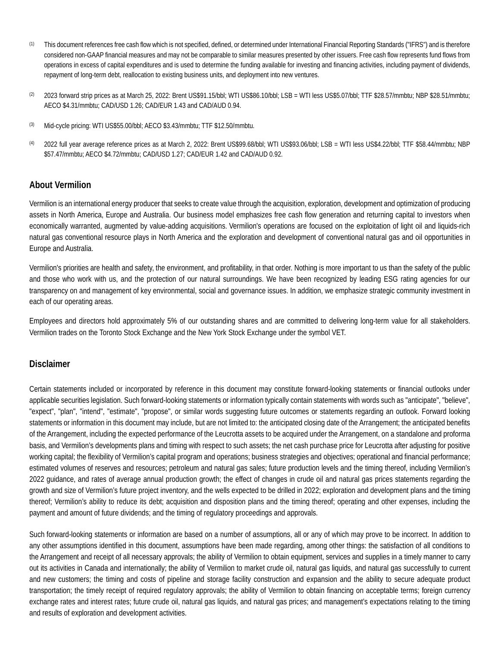- (1) This document references free cash flow which is not specified, defined, or determined under International Financial Reporting Standards ("IFRS") and is therefore considered non-GAAP financial measures and may not be comparable to similar measures presented by other issuers. Free cash flow represents fund flows from operations in excess of capital expenditures and is used to determine the funding available for investing and financing activities, including payment of dividends, repayment of long-term debt, reallocation to existing business units, and deployment into new ventures.
- (2) 2023 forward strip prices as at March 25, 2022: Brent US\$91.15/bbl; WTI US\$86.10/bbl; LSB = WTI less US\$5.07/bbl; TTF \$28.57/mmbtu; NBP \$28.51/mmbtu; AECO \$4.31/mmbtu; CAD/USD 1.26; CAD/EUR 1.43 and CAD/AUD 0.94.
- (3) Mid-cycle pricing: WTI US\$55.00/bbl; AECO \$3.43/mmbtu; TTF \$12.50/mmbtu.
- (4) 2022 full year average reference prices as at March 2, 2022: Brent US\$99.68/bbl; WTI US\$93.06/bbl; LSB = WTI less US\$4.22/bbl; TTF \$58.44/mmbtu; NBP \$57.47/mmbtu; AECO \$4.72/mmbtu; CAD/USD 1.27; CAD/EUR 1.42 and CAD/AUD 0.92.

## **About Vermilion**

Vermilion is an international energy producer that seeks to create value through the acquisition, exploration, development and optimization of producing assets in North America, Europe and Australia. Our business model emphasizes free cash flow generation and returning capital to investors when economically warranted, augmented by value-adding acquisitions. Vermilion's operations are focused on the exploitation of light oil and liquids-rich natural gas conventional resource plays in North America and the exploration and development of conventional natural gas and oil opportunities in Europe and Australia.

Vermilion's priorities are health and safety, the environment, and profitability, in that order. Nothing is more important to us than the safety of the public and those who work with us, and the protection of our natural surroundings. We have been recognized by leading ESG rating agencies for our transparency on and management of key environmental, social and governance issues. In addition, we emphasize strategic community investment in each of our operating areas.

Employees and directors hold approximately 5% of our outstanding shares and are committed to delivering long-term value for all stakeholders. Vermilion trades on the Toronto Stock Exchange and the New York Stock Exchange under the symbol VET.

## **Disclaimer**

Certain statements included or incorporated by reference in this document may constitute forward-looking statements or financial outlooks under applicable securities legislation. Such forward-looking statements or information typically contain statements with words such as "anticipate", "believe", "expect", "plan", "intend", "estimate", "propose", or similar words suggesting future outcomes or statements regarding an outlook. Forward looking statements or information in this document may include, but are not limited to: the anticipated closing date of the Arrangement; the anticipated benefits of the Arrangement, including the expected performance of the Leucrotta assets to be acquired under the Arrangement, on a standalone and proforma basis, and Vermilion's developments plans and timing with respect to such assets; the net cash purchase price for Leucrotta after adjusting for positive working capital; the flexibility of Vermilion's capital program and operations; business strategies and objectives; operational and financial performance; estimated volumes of reserves and resources; petroleum and natural gas sales; future production levels and the timing thereof, including Vermilion's 2022 guidance, and rates of average annual production growth; the effect of changes in crude oil and natural gas prices statements regarding the growth and size of Vermilion's future project inventory, and the wells expected to be drilled in 2022; exploration and development plans and the timing thereof; Vermilion's ability to reduce its debt; acquisition and disposition plans and the timing thereof; operating and other expenses, including the payment and amount of future dividends; and the timing of regulatory proceedings and approvals.

Such forward-looking statements or information are based on a number of assumptions, all or any of which may prove to be incorrect. In addition to any other assumptions identified in this document, assumptions have been made regarding, among other things: the satisfaction of all conditions to the Arrangement and receipt of all necessary approvals; the ability of Vermilion to obtain equipment, services and supplies in a timely manner to carry out its activities in Canada and internationally; the ability of Vermilion to market crude oil, natural gas liquids, and natural gas successfully to current and new customers; the timing and costs of pipeline and storage facility construction and expansion and the ability to secure adequate product transportation; the timely receipt of required regulatory approvals; the ability of Vermilion to obtain financing on acceptable terms; foreign currency exchange rates and interest rates; future crude oil, natural gas liquids, and natural gas prices; and management's expectations relating to the timing and results of exploration and development activities.